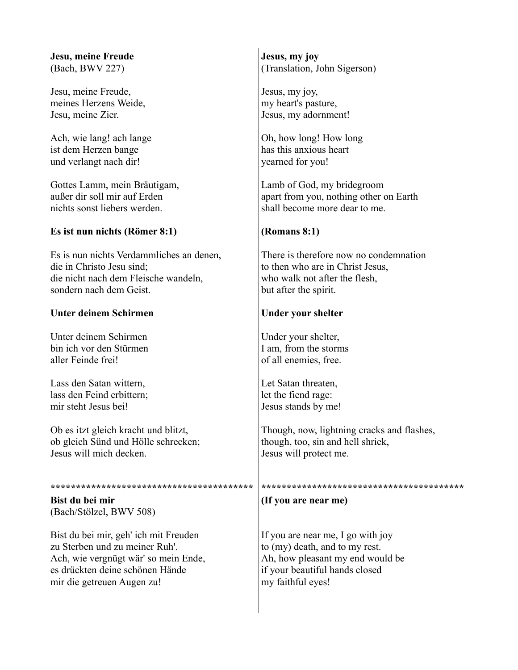| Jesu, meine Freude                       | Jesus, my joy                              |
|------------------------------------------|--------------------------------------------|
|                                          |                                            |
| (Bach, BWV 227)                          | (Translation, John Sigerson)               |
|                                          |                                            |
|                                          |                                            |
| Jesu, meine Freude,                      | Jesus, my joy,                             |
| meines Herzens Weide,                    | my heart's pasture,                        |
| Jesu, meine Zier.                        | Jesus, my adornment!                       |
|                                          |                                            |
|                                          |                                            |
| Ach, wie lang! ach lange                 | Oh, how long! How long                     |
| ist dem Herzen bange                     | has this anxious heart                     |
|                                          |                                            |
| und verlangt nach dir!                   | yearned for you!                           |
|                                          |                                            |
| Gottes Lamm, mein Bräutigam,             | Lamb of God, my bridegroom                 |
|                                          |                                            |
| außer dir soll mir auf Erden             | apart from you, nothing other on Earth     |
| nichts sonst liebers werden.             | shall become more dear to me.              |
|                                          |                                            |
|                                          |                                            |
| Es ist nun nichts (Römer 8:1)            | (Romans 8:1)                               |
|                                          |                                            |
|                                          |                                            |
| Es is nun nichts Verdammliches an denen, | There is therefore now no condemnation     |
| die in Christo Jesu sind;                | to then who are in Christ Jesus,           |
| die nicht nach dem Fleische wandeln,     | who walk not after the flesh,              |
|                                          |                                            |
| sondern nach dem Geist.                  | but after the spirit.                      |
|                                          |                                            |
| <b>Unter deinem Schirmen</b>             | Under your shelter                         |
|                                          |                                            |
|                                          |                                            |
| Unter deinem Schirmen                    | Under your shelter,                        |
| bin ich vor den Stürmen                  | I am, from the storms                      |
|                                          |                                            |
| aller Feinde frei!                       | of all enemies, free.                      |
|                                          |                                            |
| Lass den Satan wittern,                  | Let Satan threaten,                        |
|                                          |                                            |
| lass den Feind erbittern;                | let the fiend rage:                        |
| mir steht Jesus bei!                     | Jesus stands by me!                        |
|                                          |                                            |
|                                          |                                            |
| Ob es itzt gleich kracht und blitzt,     | Though, now, lightning cracks and flashes, |
| ob gleich Sünd und Hölle schrecken;      | though, too, sin and hell shriek,          |
| Jesus will mich decken.                  |                                            |
|                                          | Jesus will protect me.                     |
|                                          |                                            |
|                                          |                                            |
|                                          |                                            |
|                                          |                                            |
| Bist du bei mir                          | (If you are near me)                       |
| (Bach/Stölzel, BWV 508)                  |                                            |
|                                          |                                            |
|                                          |                                            |
| Bist du bei mir, geh' ich mit Freuden    | If you are near me, I go with joy          |
| zu Sterben und zu meiner Ruh'.           | to (my) death, and to my rest.             |
|                                          |                                            |
| Ach, wie vergnügt wär' so mein Ende,     | Ah, how pleasant my end would be           |
| es drückten deine schönen Hände          | if your beautiful hands closed             |
| mir die getreuen Augen zu!               | my faithful eyes!                          |
|                                          |                                            |
|                                          |                                            |
|                                          |                                            |
|                                          |                                            |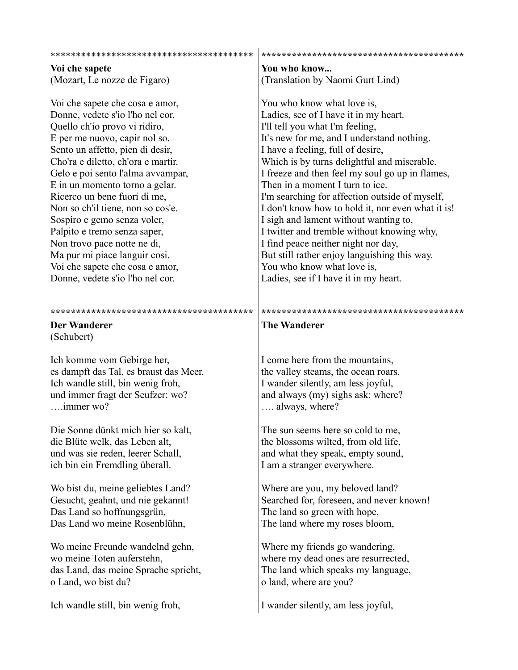| Voi che sapete                         | You who know                                      |
|----------------------------------------|---------------------------------------------------|
| (Mozart, Le nozze de Figaro)           | (Translation by Naomi Gurt Lind)                  |
|                                        |                                                   |
| Voi che sapete che cosa e amor,        | You who know what love is,                        |
| Donne, vedete s'io l'ho nel cor.       | Ladies, see of I have it in my heart.             |
| Quello ch'io provo vi ridiro,          | I'll tell you what I'm feeling,                   |
| E per me nuovo, capir nol so.          | It's new for me, and I understand nothing.        |
| Sento un affetto, pien di desir,       | I have a feeling, full of desire,                 |
| Cho'ra e diletto, ch'ora e martir.     | Which is by turns delightful and miserable.       |
| Gelo e poi sento l'alma avvampar,      | I freeze and then feel my soul go up in flames,   |
| E in un momento torno a gelar.         | Then in a moment I turn to ice.                   |
| Ricerco un bene fuori di me,           | I'm searching for affection outside of myself,    |
| Non so ch'il tiene, non so cos'e.      | I don't know how to hold it, nor even what it is! |
| Sospiro e gemo senza voler,            | I sigh and lament without wanting to,             |
| Palpito e tremo senza saper,           | I twitter and tremble without knowing why,        |
| Non trovo pace notte ne di,            | I find peace neither night nor day,               |
| Ma pur mi piace languir cosi.          | But still rather enjoy languishing this way.      |
| Voi che sapete che cosa e amor,        | You who know what love is,                        |
| Donne, vedete s'io l'ho nel cor.       | Ladies, see if I have it in my heart.             |
|                                        |                                                   |
|                                        |                                                   |
|                                        |                                                   |
| <b>Der Wanderer</b>                    | <b>The Wanderer</b>                               |
| (Schubert)                             |                                                   |
|                                        |                                                   |
| Ich komme vom Gebirge her,             | I come here from the mountains,                   |
| es dampft das Tal, es braust das Meer. | the valley steams, the ocean roars.               |
| Ich wandle still, bin wenig froh,      | I wander silently, am less joyful,                |
| und immer fragt der Seufzer: wo?       | and always (my) sighs ask: where?                 |
| $\dots$ immer wo?                      | always, where?                                    |
|                                        |                                                   |
| Die Sonne dünkt mich hier so kalt,     | The sun seems here so cold to me,                 |
| die Blüte welk, das Leben alt,         | the blossoms wilted, from old life,               |
| und was sie reden, leerer Schall,      | and what they speak, empty sound,                 |
| ich bin ein Fremdling überall.         | I am a stranger everywhere.                       |
|                                        |                                                   |
| Wo bist du, meine geliebtes Land?      | Where are you, my beloved land?                   |
| Gesucht, geahnt, und nie gekannt!      | Searched for, foreseen, and never known!          |
| Das Land so hoffnungsgrün,             | The land so green with hope,                      |
| Das Land wo meine Rosenblühn,          | The land where my roses bloom,                    |
|                                        |                                                   |
| Wo meine Freunde wandelnd gehn,        | Where my friends go wandering,                    |
| wo meine Toten auferstehn,             | where my dead ones are resurrected,               |
| das Land, das meine Sprache spricht,   | The land which speaks my language,                |
| o Land, wo bist du?                    | o land, where are you?                            |
|                                        |                                                   |
| Ich wandle still, bin wenig froh,      | I wander silently, am less joyful,                |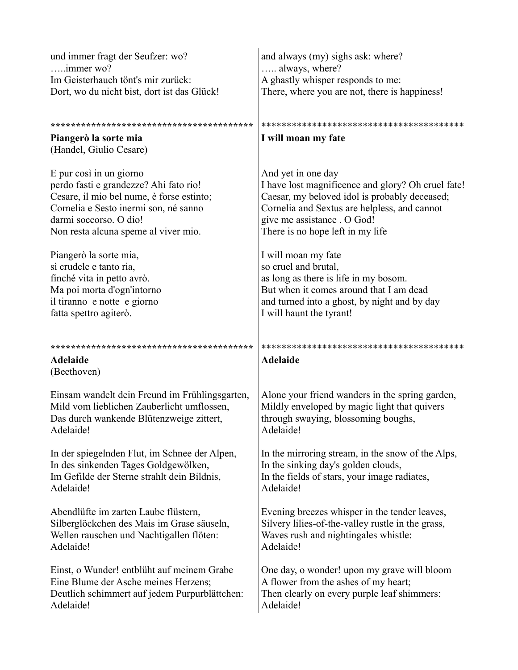| und immer fragt der Seufzer: wo?<br>$\ldots$ immer wo?                             | and always (my) sighs ask: where?<br>always, where?                                           |
|------------------------------------------------------------------------------------|-----------------------------------------------------------------------------------------------|
| Im Geisterhauch tönt's mir zurück:                                                 | A ghastly whisper responds to me:                                                             |
| Dort, wo du nicht bist, dort ist das Glück!                                        | There, where you are not, there is happiness!                                                 |
|                                                                                    |                                                                                               |
|                                                                                    |                                                                                               |
| Piangerò la sorte mia                                                              | I will moan my fate                                                                           |
| (Handel, Giulio Cesare)                                                            |                                                                                               |
| E pur così in un giorno<br>perdo fasti e grandezze? Ahi fato rio!                  | And yet in one day<br>I have lost magnificence and glory? Oh cruel fate!                      |
| Cesare, il mio bel nume, è forse estinto;<br>Cornelia e Sesto inermi son, né sanno | Caesar, my beloved idol is probably deceased;<br>Cornelia and Sextus are helpless, and cannot |
| darmi soccorso. O dio!                                                             | give me assistance . O God!                                                                   |
| Non resta alcuna speme al viver mio.                                               | There is no hope left in my life                                                              |
|                                                                                    |                                                                                               |
| Piangerò la sorte mia,                                                             | I will moan my fate                                                                           |
| sì crudele e tanto ria,                                                            | so cruel and brutal,                                                                          |
| finché vita in petto avrò.                                                         | as long as there is life in my bosom.                                                         |
| Ma poi morta d'ogn'intorno                                                         | But when it comes around that I am dead                                                       |
| il tiranno e notte e giorno<br>fatta spettro agiterò.                              | and turned into a ghost, by night and by day<br>I will haunt the tyrant!                      |
|                                                                                    |                                                                                               |
|                                                                                    |                                                                                               |
|                                                                                    |                                                                                               |
|                                                                                    |                                                                                               |
| <b>Adelaide</b>                                                                    | <b>Adelaide</b>                                                                               |
| (Beethoven)                                                                        |                                                                                               |
| Einsam wandelt dein Freund im Frühlingsgarten,                                     | Alone your friend wanders in the spring garden,                                               |
| Mild vom lieblichen Zauberlicht umflossen,                                         | Mildly enveloped by magic light that quivers                                                  |
| Das durch wankende Blütenzweige zittert,                                           | through swaying, blossoming boughs,                                                           |
| Adelaide!                                                                          | Adelaide!                                                                                     |
| In der spiegelnden Flut, im Schnee der Alpen,                                      | In the mirroring stream, in the snow of the Alps,                                             |
| In des sinkenden Tages Goldgewölken,                                               | In the sinking day's golden clouds,                                                           |
| Im Gefilde der Sterne strahlt dein Bildnis,                                        | In the fields of stars, your image radiates,                                                  |
| Adelaide!                                                                          | Adelaide!                                                                                     |
| Abendlüfte im zarten Laube flüstern,                                               | Evening breezes whisper in the tender leaves,                                                 |
| Silberglöckchen des Mais im Grase säuseln,                                         | Silvery lilies-of-the-valley rustle in the grass,                                             |
| Wellen rauschen und Nachtigallen flöten:                                           | Waves rush and nightingales whistle:                                                          |
| Adelaide!                                                                          | Adelaide!                                                                                     |
|                                                                                    |                                                                                               |
| Einst, o Wunder! entblüht auf meinem Grabe<br>Eine Blume der Asche meines Herzens; | One day, o wonder! upon my grave will bloom<br>A flower from the ashes of my heart;           |
| Deutlich schimmert auf jedem Purpurblättchen:                                      | Then clearly on every purple leaf shimmers:                                                   |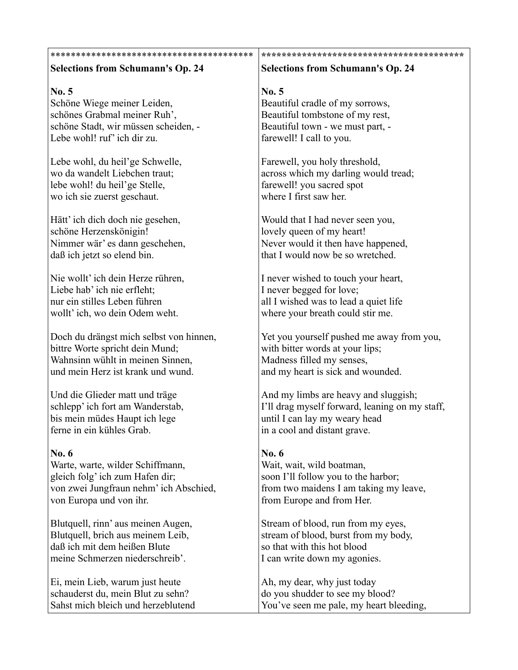| <b>Selections from Schumann's Op. 24</b> | <b>Selections from Schumann's Op. 24</b>       |
|------------------------------------------|------------------------------------------------|
| No. 5                                    | No. 5                                          |
| Schöne Wiege meiner Leiden,              | Beautiful cradle of my sorrows,                |
| schönes Grabmal meiner Ruh',             | Beautiful tombstone of my rest,                |
| schöne Stadt, wir müssen scheiden, -     | Beautiful town - we must part, -               |
| Lebe wohl! ruf' ich dir zu.              | farewell! I call to you.                       |
| Lebe wohl, du heil'ge Schwelle,          | Farewell, you holy threshold,                  |
| wo da wandelt Liebchen traut;            | across which my darling would tread;           |
| lebe wohl! du heil'ge Stelle,            | farewell! you sacred spot                      |
| wo ich sie zuerst geschaut.              | where I first saw her.                         |
| Hätt' ich dich doch nie gesehen,         | Would that I had never seen you,               |
| schöne Herzenskönigin!                   | lovely queen of my heart!                      |
| Nimmer wär' es dann geschehen,           | Never would it then have happened,             |
| daß ich jetzt so elend bin.              | that I would now be so wretched.               |
| Nie wollt' ich dein Herze rühren,        | I never wished to touch your heart,            |
| Liebe hab' ich nie erfleht;              | I never begged for love;                       |
| nur ein stilles Leben führen             | all I wished was to lead a quiet life          |
| wollt' ich, wo dein Odem weht.           | where your breath could stir me.               |
| Doch du drängst mich selbst von hinnen,  | Yet you yourself pushed me away from you,      |
| bittre Worte spricht dein Mund;          | with bitter words at your lips;                |
| Wahnsinn wühlt in meinen Sinnen,         | Madness filled my senses,                      |
| und mein Herz ist krank und wund.        | and my heart is sick and wounded.              |
| Und die Glieder matt und träge           | And my limbs are heavy and sluggish;           |
| schlepp' ich fort am Wanderstab,         | I'll drag myself forward, leaning on my staff, |
| bis mein müdes Haupt ich lege            | until I can lay my weary head                  |
| ferne in ein kühles Grab.                | in a cool and distant grave.                   |
| No. 6                                    | No. 6                                          |
| Warte, warte, wilder Schiffmann,         | Wait, wait, wild boatman,                      |
| gleich folg' ich zum Hafen dir;          | soon I'll follow you to the harbor;            |
| von zwei Jungfraun nehm' ich Abschied,   | from two maidens I am taking my leave,         |
| von Europa und von ihr.                  | from Europe and from Her.                      |
| Blutquell, rinn' aus meinen Augen,       | Stream of blood, run from my eyes,             |
| Blutquell, brich aus meinem Leib,        | stream of blood, burst from my body,           |
| daß ich mit dem heißen Blute             | so that with this hot blood                    |
| meine Schmerzen niederschreib'.          | I can write down my agonies.                   |
| Ei, mein Lieb, warum just heute          | Ah, my dear, why just today                    |
| schauderst du, mein Blut zu sehn?        | do you shudder to see my blood?                |
| Sahst mich bleich und herzeblutend       | You've seen me pale, my heart bleeding,        |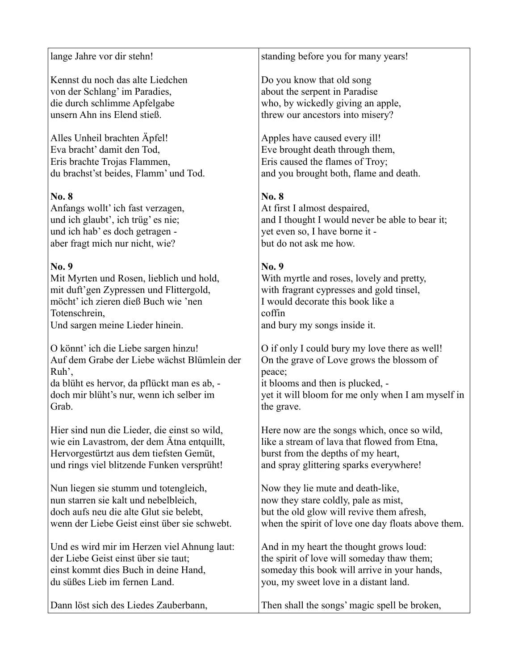| lange Jahre vor dir stehn!                   | standing before you for many years!                |
|----------------------------------------------|----------------------------------------------------|
| Kennst du noch das alte Liedchen             | Do you know that old song                          |
| von der Schlang' im Paradies,                | about the serpent in Paradise                      |
| die durch schlimme Apfelgabe                 | who, by wickedly giving an apple,                  |
| unsern Ahn ins Elend stieß.                  | threw our ancestors into misery?                   |
| Alles Unheil brachten Äpfel!                 | Apples have caused every ill!                      |
| Eva bracht' damit den Tod,                   | Eve brought death through them,                    |
| Eris brachte Trojas Flammen,                 | Eris caused the flames of Troy;                    |
| du brachst'st beides, Flamm' und Tod.        | and you brought both, flame and death.             |
| <b>No. 8</b>                                 | No. 8                                              |
| Anfangs wollt' ich fast verzagen,            | At first I almost despaired,                       |
| und ich glaubt', ich trüg' es nie;           | and I thought I would never be able to bear it;    |
| und ich hab' es doch getragen -              | yet even so, I have borne it -                     |
| aber fragt mich nur nicht, wie?              | but do not ask me how.                             |
| No. 9                                        | No. 9                                              |
| Mit Myrten und Rosen, lieblich und hold,     | With myrtle and roses, lovely and pretty,          |
| mit duft'gen Zypressen und Flittergold,      | with fragrant cypresses and gold tinsel,           |
| möcht' ich zieren dieß Buch wie 'nen         | I would decorate this book like a                  |
| Totenschrein,                                | coffin                                             |
| Und sargen meine Lieder hinein.              | and bury my songs inside it.                       |
| O könnt' ich die Liebe sargen hinzu!         | O if only I could bury my love there as well!      |
| Auf dem Grabe der Liebe wächst Blümlein der  | On the grave of Love grows the blossom of          |
| Ruh <sup>'</sup> ,                           | peace;                                             |
| da blüht es hervor, da pflückt man es ab, -  | it blooms and then is plucked, -                   |
| doch mir blüht's nur, wenn ich selber im     | yet it will bloom for me only when I am myself in  |
| Grab.                                        | the grave.                                         |
| Hier sind nun die Lieder, die einst so wild, | Here now are the songs which, once so wild,        |
| wie ein Lavastrom, der dem Ätna entquillt,   | like a stream of lava that flowed from Etna,       |
| Hervorgestürtzt aus dem tiefsten Gemüt,      | burst from the depths of my heart,                 |
| und rings viel blitzende Funken versprüht!   | and spray glittering sparks everywhere!            |
| Nun liegen sie stumm und totengleich,        | Now they lie mute and death-like,                  |
| nun starren sie kalt und nebelbleich,        | now they stare coldly, pale as mist,               |
| doch aufs neu die alte Glut sie belebt,      | but the old glow will revive them afresh,          |
| wenn der Liebe Geist einst über sie schwebt. | when the spirit of love one day floats above them. |
| Und es wird mir im Herzen viel Ahnung laut:  | And in my heart the thought grows loud:            |
| der Liebe Geist einst über sie taut;         | the spirit of love will someday thaw them;         |
| einst kommt dies Buch in deine Hand,         | someday this book will arrive in your hands,       |
| du süßes Lieb im fernen Land.                | you, my sweet love in a distant land.              |
| Dann löst sich des Liedes Zauberbann,        | Then shall the songs' magic spell be broken,       |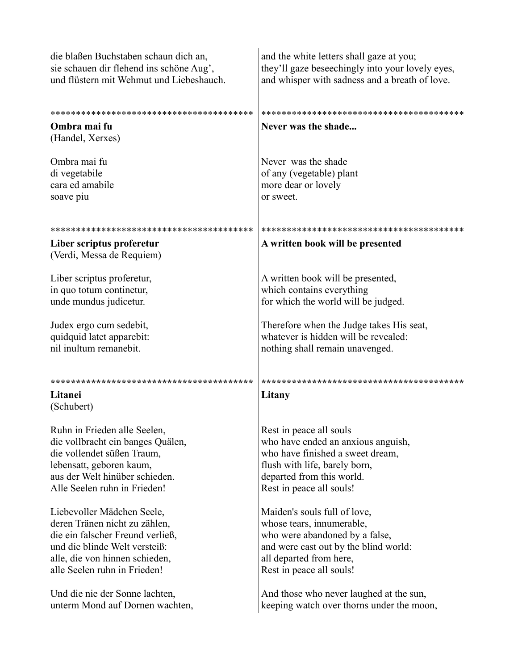| die blaßen Buchstaben schaun dich an,                  | and the white letters shall gaze at you;                                   |
|--------------------------------------------------------|----------------------------------------------------------------------------|
| sie schauen dir flehend ins schöne Aug',               | they'll gaze beseechingly into your lovely eyes,                           |
| und flüstern mit Wehmut und Liebeshauch.               | and whisper with sadness and a breath of love.                             |
| Ombra mai fu<br>(Handel, Xerxes)                       | **************************************<br>Never was the shade              |
| Ombra mai fu                                           | Never was the shade                                                        |
| di vegetabile                                          | of any (vegetable) plant                                                   |
| cara ed amabile                                        | more dear or lovely                                                        |
| soave piu                                              | or sweet.                                                                  |
| Liber scriptus proferetur<br>(Verdi, Messa de Requiem) | **************************************<br>A written book will be presented |
| Liber scriptus proferetur,                             | A written book will be presented,                                          |
| in quo totum continetur,                               | which contains everything                                                  |
| unde mundus judicetur.                                 | for which the world will be judged.                                        |
| Judex ergo cum sedebit,                                | Therefore when the Judge takes His seat,                                   |
| quidquid latet apparebit:                              | whatever is hidden will be revealed:                                       |
| nil inultum remanebit.                                 | nothing shall remain unavenged.                                            |
| Litanei<br>(Schubert)                                  | **************************************<br>Litany                           |
| Ruhn in Frieden alle Seelen,                           | Rest in peace all souls                                                    |
| die vollbracht ein banges Quälen,                      | who have ended an anxious anguish,                                         |
| die vollendet süßen Traum,                             | who have finished a sweet dream,                                           |
| lebensatt, geboren kaum,                               | flush with life, barely born,                                              |
| aus der Welt hinüber schieden.                         | departed from this world.                                                  |
| Alle Seelen ruhn in Frieden!                           | Rest in peace all souls!                                                   |
| Liebevoller Mädchen Seele,                             | Maiden's souls full of love,                                               |
| deren Tränen nicht zu zählen,                          | whose tears, innumerable,                                                  |
| die ein falscher Freund verließ,                       | who were abandoned by a false,                                             |
| und die blinde Welt versteiß:                          | and were cast out by the blind world:                                      |
| alle, die von hinnen schieden,                         | all departed from here,                                                    |
| alle Seelen ruhn in Frieden!                           | Rest in peace all souls!                                                   |
| Und die nie der Sonne lachten,                         | And those who never laughed at the sun,                                    |
| unterm Mond auf Dornen wachten,                        | keeping watch over thorns under the moon,                                  |